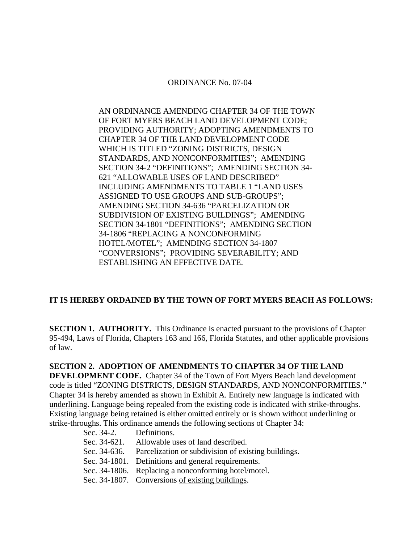### ORDINANCE No. 07-04

AN ORDINANCE AMENDING CHAPTER 34 OF THE TOWN OF FORT MYERS BEACH LAND DEVELOPMENT CODE; PROVIDING AUTHORITY; ADOPTING AMENDMENTS TO CHAPTER 34 OF THE LAND DEVELOPMENT CODE WHICH IS TITLED "ZONING DISTRICTS, DESIGN STANDARDS, AND NONCONFORMITIES"; AMENDING SECTION 34-2 "DEFINITIONS"; AMENDING SECTION 34- 621 "ALLOWABLE USES OF LAND DESCRIBED" INCLUDING AMENDMENTS TO TABLE 1 "LAND USES ASSIGNED TO USE GROUPS AND SUB-GROUPS"; AMENDING SECTION 34-636 "PARCELIZATION OR SUBDIVISION OF EXISTING BUILDINGS"; AMENDING SECTION 34-1801 "DEFINITIONS"; AMENDING SECTION 34-1806 "REPLACING A NONCONFORMING HOTEL/MOTEL"; AMENDING SECTION 34-1807 "CONVERSIONS"; PROVIDING SEVERABILITY; AND ESTABLISHING AN EFFECTIVE DATE.

# **IT IS HEREBY ORDAINED BY THE TOWN OF FORT MYERS BEACH AS FOLLOWS:**

**SECTION 1. AUTHORITY.** This Ordinance is enacted pursuant to the provisions of Chapter 95-494, Laws of Florida, Chapters 163 and 166, Florida Statutes, and other applicable provisions of law.

# **SECTION 2. ADOPTION OF AMENDMENTS TO CHAPTER 34 OF THE LAND DEVELOPMENT CODE.** Chapter 34 of the Town of Fort Myers Beach land development code is titled "ZONING DISTRICTS, DESIGN STANDARDS, AND NONCONFORMITIES." Chapter 34 is hereby amended as shown in Exhibit A. Entirely new language is indicated with underlining. Language being repealed from the existing code is indicated with strike-throughs. Existing language being retained is either omitted entirely or is shown without underlining or strike-throughs. This ordinance amends the following sections of Chapter 34:

| Sec. 34-2.   | Definitions.                                                     |
|--------------|------------------------------------------------------------------|
| Sec. 34-621. | Allowable uses of land described.                                |
|              | Sec. 34-636. Parcelization or subdivision of existing buildings. |
|              | Sec. 34-1801. Definitions and general requirements.              |
|              | Sec. 34-1806. Replacing a nonconforming hotel/motel.             |
|              | Sec. 34-1807. Conversions of existing buildings.                 |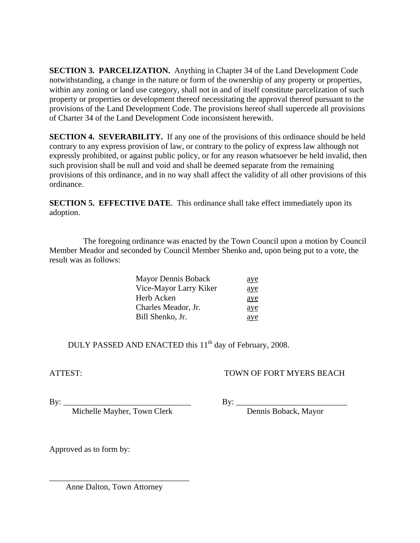**SECTION 3. PARCELIZATION.** Anything in Chapter 34 of the Land Development Code notwithstanding, a change in the nature or form of the ownership of any property or properties, within any zoning or land use category, shall not in and of itself constitute parcelization of such property or properties or development thereof necessitating the approval thereof pursuant to the provisions of the Land Development Code. The provisions hereof shall supercede all provisions of Charter 34 of the Land Development Code inconsistent herewith.

**SECTION 4. SEVERABILITY.** If any one of the provisions of this ordinance should be held contrary to any express provision of law, or contrary to the policy of express law although not expressly prohibited, or against public policy, or for any reason whatsoever be held invalid, then such provision shall be null and void and shall be deemed separate from the remaining provisions of this ordinance, and in no way shall affect the validity of all other provisions of this ordinance.

**SECTION 5. EFFECTIVE DATE.** This ordinance shall take effect immediately upon its adoption.

 The foregoing ordinance was enacted by the Town Council upon a motion by Council Member Meador and seconded by Council Member Shenko and, upon being put to a vote, the result was as follows:

| Mayor Dennis Boback    | <u>aye</u> |
|------------------------|------------|
| Vice-Mayor Larry Kiker | <u>aye</u> |
| Herb Acken             | <u>aye</u> |
| Charles Meador, Jr.    | aye        |
| Bill Shenko, Jr.       | ave        |

DULY PASSED AND ENACTED this 11<sup>th</sup> day of February, 2008.

# ATTEST: TOWN OF FORT MYERS BEACH

Michelle Mayher, Town Clerk Dennis Boback, Mayor

 $\text{By:}\_$ 

Approved as to form by:

Anne Dalton, Town Attorney

\_\_\_\_\_\_\_\_\_\_\_\_\_\_\_\_\_\_\_\_\_\_\_\_\_\_\_\_\_\_\_\_\_\_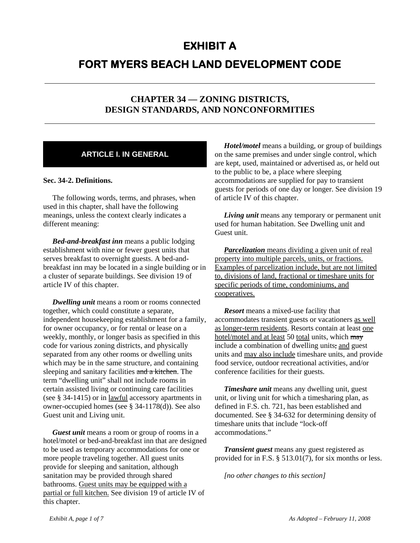# **EXHIBIT A**

# **FORT MYERS BEACH LAND DEVELOPMENT CODE**

# **CHAPTER 34 — ZONING DISTRICTS, DESIGN STANDARDS, AND NONCONFORMITIES**

# **ARTICLE I. IN GENERAL**

#### **Sec. 34-2. Definitions.**

The following words, terms, and phrases, when used in this chapter, shall have the following meanings, unless the context clearly indicates a different meaning:

*Bed-and-breakfast inn* means a public lodging establishment with nine or fewer guest units that serves breakfast to overnight guests. A bed-andbreakfast inn may be located in a single building or in a cluster of separate buildings. See division 19 of article IV of this chapter.

*Dwelling unit* means a room or rooms connected together, which could constitute a separate, independent housekeeping establishment for a family, for owner occupancy, or for rental or lease on a weekly, monthly, or longer basis as specified in this code for various zoning districts, and physically separated from any other rooms or dwelling units which may be in the same structure, and containing sleeping and sanitary facilities and a kitchen. The term "dwelling unit" shall not include rooms in certain assisted living or continuing care facilities (see § 34-1415) or in lawful accessory apartments in owner-occupied homes (see § 34-1178(d)). See also Guest unit and Living unit.

*Guest unit* means a room or group of rooms in a hotel/motel or bed-and-breakfast inn that are designed to be used as temporary accommodations for one or more people traveling together. All guest units provide for sleeping and sanitation, although sanitation may be provided through shared bathrooms. Guest units may be equipped with a partial or full kitchen. See division 19 of article IV of this chapter.

*Hotel/motel* means a building, or group of buildings on the same premises and under single control, which are kept, used, maintained or advertised as, or held out to the public to be, a place where sleeping accommodations are supplied for pay to transient guests for periods of one day or longer. See division 19 of article IV of this chapter.

*Living unit* means any temporary or permanent unit used for human habitation. See Dwelling unit and Guest unit.

*Parcelization* means dividing a given unit of real property into multiple parcels, units, or fractions. Examples of parcelization include, but are not limited to, divisions of land, fractional or timeshare units for specific periods of time, condominiums, and cooperatives.

*Resort* means a mixed-use facility that accommodates transient guests or vacationers as well as longer-term residents. Resorts contain at least one hotel/motel and at least 50 total units, which may include a combination of dwelling units, and guest units and may also include timeshare units, and provide food service, outdoor recreational activities, and/or conference facilities for their guests.

*Timeshare unit* means any dwelling unit, guest unit, or living unit for which a timesharing plan, as defined in F.S. ch. 721, has been established and documented. See § 34-632 for determining density of timeshare units that include "lock-off accommodations."

*Transient guest* means any guest registered as provided for in F.S. § 513.01(7), for six months or less.

*[no other changes to this section]*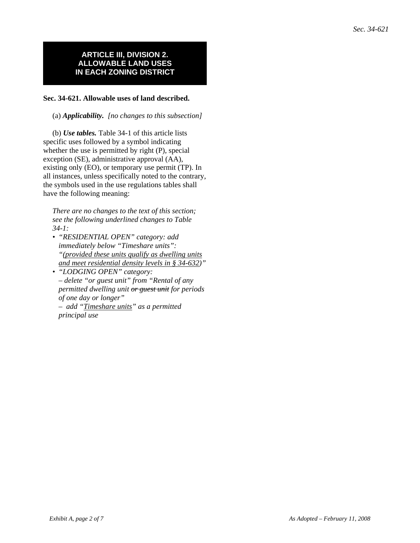### **ARTICLE III, DIVISION 2. ALLOWABLE LAND USES IN EACH ZONING DISTRICT**

#### **Sec. 34-621. Allowable uses of land described.**

(a) *Applicability. [no changes to this subsection]*

(b) *Use tables.* Table 34-1 of this article lists specific uses followed by a symbol indicating whether the use is permitted by right (P), special exception (SE), administrative approval (AA), existing only (EO), or temporary use permit (TP). In all instances, unless specifically noted to the contrary, the symbols used in the use regulations tables shall have the following meaning:

*There are no changes to the text of this section; see the following underlined changes to Table 34-1:*

- *"RESIDENTIAL OPEN" category: add immediately below "Timeshare units": "(provided these units qualify as dwelling units and meet residential density levels in § 34-632)"*
- *"LODGING OPEN" category: – delete "or guest unit" from "Rental of any permitted dwelling unit or guest unit for periods of one day or longer"*
	- *add "Timeshare units" as a permitted principal use*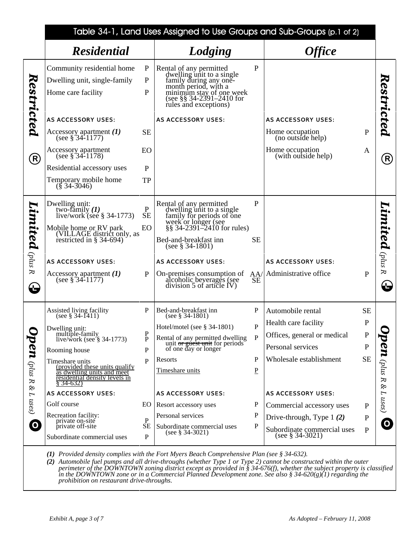|                                    | Table 34-1, Land Uses Assigned to Use Groups and Sub-Groups (p.1 of 2)                                                                                                                                             |                                        |                                                                                                                                                                                                                                                   |                          |                                                    |              |                              |
|------------------------------------|--------------------------------------------------------------------------------------------------------------------------------------------------------------------------------------------------------------------|----------------------------------------|---------------------------------------------------------------------------------------------------------------------------------------------------------------------------------------------------------------------------------------------------|--------------------------|----------------------------------------------------|--------------|------------------------------|
|                                    | <b>Residential</b>                                                                                                                                                                                                 |                                        | Lodging                                                                                                                                                                                                                                           |                          | <b>Office</b>                                      |              |                              |
| Restricted                         | Community residential home<br>Dwelling unit, single-family<br>Home care facility                                                                                                                                   | ${\bf P}$<br>$\mathbf{P}$<br>P         | Rental of any permitted<br>dwelling unit to a single<br>family during any one-<br>month period, with a<br>minimum stay of one week<br>(see §§ 34-2391-2410 for<br>rules and exceptions)                                                           | $\mathbf{P}$             |                                                    |              | Restricted                   |
|                                    | <b>AS ACCESSORY USES:</b>                                                                                                                                                                                          |                                        | <b>AS ACCESSORY USES:</b>                                                                                                                                                                                                                         |                          | <b>AS ACCESSORY USES:</b>                          |              |                              |
|                                    | Accessory apartment $(I)$<br>(see $\S$ 34-1177)                                                                                                                                                                    | <b>SE</b>                              |                                                                                                                                                                                                                                                   |                          | Home occupation<br>(no outside help)               | ${\bf P}$    |                              |
| $\big( \mathsf{R} \big)$           | Accessory apartment<br>(see $\S$ 34-1178)                                                                                                                                                                          | EO                                     |                                                                                                                                                                                                                                                   |                          | Home occupation<br>(with outside help)             | A            | (R)                          |
|                                    | Residential accessory uses                                                                                                                                                                                         | P                                      |                                                                                                                                                                                                                                                   |                          |                                                    |              |                              |
|                                    | Temporary mobile home<br>$(\S$ 34-3046)                                                                                                                                                                            | <b>TP</b>                              |                                                                                                                                                                                                                                                   |                          |                                                    |              |                              |
| Limited ${}_{\rm \acute{e}tus\ R}$ | Dwelling unit:<br>two-family $(1)$<br>live/work (see $\S$ 34-1773)<br>Mobile home or RV park<br>(VILLAGE district only, as<br>restricted in $\S$ 34-694)<br><b>AS ACCESSORY USES:</b><br>Accessory apartment $(I)$ | P<br>$\overline{\text{SE}}$<br>EO<br>P | Rental of any permitted<br>dwelling unit to a single<br>family for periods of one<br>week or longer (see<br>§§ 34-2391–2410 for rules)<br>Bed-and-breakfast inn<br>(see $\S 34-1801$ )<br><b>AS ACCESSORY USES:</b><br>On-premises consumption of | P<br><b>SE</b><br>AA/    | <b>AS ACCESSORY USES:</b><br>Administrative office | $\mathbf{P}$ | Limited ${}_{\rm plus~ R}$   |
| ₩                                  | (see $\S$ 34-1177)                                                                                                                                                                                                 |                                        | alcoholic beyerages (see<br>division 5 of article $IV$ )                                                                                                                                                                                          | <b>SE</b>                |                                                    |              | $\bf \Theta$                 |
|                                    | Assisted living facility<br>(see § 34-1411)                                                                                                                                                                        | P                                      | Bed-and-breakfast inn<br>(see $\S$ 34-1801)                                                                                                                                                                                                       | P                        | Automobile rental                                  | <b>SE</b>    |                              |
|                                    | Dwelling unit:<br>multiple-family                                                                                                                                                                                  |                                        | Hotel/motel (see $\S$ 34-1801)                                                                                                                                                                                                                    | P                        | Health care facility                               | $\mathbf P$  |                              |
|                                    | live/work (see $\S$ 34-1773)                                                                                                                                                                                       | P<br>$\mathbf{P}$                      | Rental of any permitted dwelling<br>unit or guest unit for periods<br>of one day or longer                                                                                                                                                        | P                        | Offices, general or medical                        | ${\bf P}$    |                              |
|                                    | Rooming house                                                                                                                                                                                                      | $\mathbf P$                            |                                                                                                                                                                                                                                                   |                          | Personal services                                  | ${\bf P}$    |                              |
|                                    | Timeshare units<br>(provided these units qualify                                                                                                                                                                   | $\mathbf{P}$                           | Resorts                                                                                                                                                                                                                                           | P                        | Wholesale establishment                            | <b>SE</b>    |                              |
| <b>pen</b> (plus R &               | as dwelling units and meet<br>residential density levels in<br>$§ 34-632)$                                                                                                                                         |                                        | Timeshare units                                                                                                                                                                                                                                   | $\underline{\mathrm{P}}$ |                                                    |              | <b>Den</b> (plus R & L uses) |
|                                    | <b>AS ACCESSORY USES:</b>                                                                                                                                                                                          |                                        | <b>AS ACCESSORY USES:</b>                                                                                                                                                                                                                         |                          | <b>AS ACCESSORY USES:</b>                          |              |                              |
| $L$ uses)                          | Golf course                                                                                                                                                                                                        | EO.                                    | Resort accessory uses                                                                                                                                                                                                                             | P                        | Commercial accessory uses                          | $\mathbf{P}$ |                              |
|                                    | Recreation facility:<br>private on-site                                                                                                                                                                            | $\mathbf{P}$                           | Personal services                                                                                                                                                                                                                                 | P                        | Drive-through, Type $1(2)$                         | ${\bf P}$    |                              |
| $\boldsymbol{\Omega}$              | private off-site<br>Subordinate commercial uses                                                                                                                                                                    | <b>SE</b><br>$\mathbf{P}$              | Subordinate commercial uses<br>(see $§$ 34-3021)                                                                                                                                                                                                  | P                        | Subordinate commercial uses<br>(see $§$ 34-3021)   | $\mathbf{P}$ | $\boldsymbol{\Theta}$        |

*(1) Provided density complies with the Fort Myers Beach Comprehensive Plan (see § 34-632).*

*(2) Automobile fuel pumps and all drive-throughs (whether Type 1 or Type 2) cannot be constructed within the outer perimeter of the DOWNTOWN zoning district except as provided in § 34-676(f), whether the subject property is classified in the DOWNTOWN zone or in a Commercial Planned Development zone. See also § 34-620(g)(1) regarding the prohibition on restaurant drive-throughs.*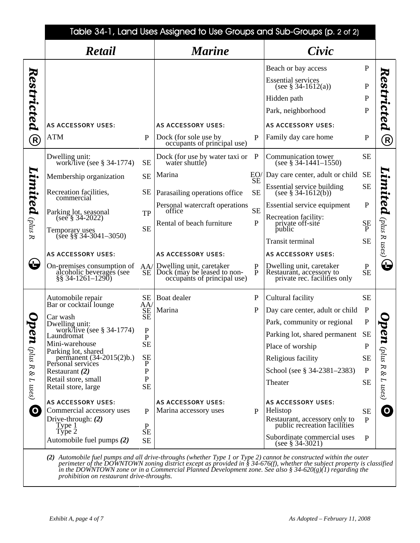|                                                         | Table 34-1, Land Uses Assigned to Use Groups and Sub-Groups (p. 2 of 2)                                                                                                                                                                                                                                                                                                 |                                                                                                                      |                                                                                                                                                                                                                                                             |                                                                             |                                                                                                                                                                                                                                                                                                                                                                                                   |                                                                                                                                              |                                                                          |
|---------------------------------------------------------|-------------------------------------------------------------------------------------------------------------------------------------------------------------------------------------------------------------------------------------------------------------------------------------------------------------------------------------------------------------------------|----------------------------------------------------------------------------------------------------------------------|-------------------------------------------------------------------------------------------------------------------------------------------------------------------------------------------------------------------------------------------------------------|-----------------------------------------------------------------------------|---------------------------------------------------------------------------------------------------------------------------------------------------------------------------------------------------------------------------------------------------------------------------------------------------------------------------------------------------------------------------------------------------|----------------------------------------------------------------------------------------------------------------------------------------------|--------------------------------------------------------------------------|
|                                                         | Retail                                                                                                                                                                                                                                                                                                                                                                  |                                                                                                                      | <b>Marine</b>                                                                                                                                                                                                                                               |                                                                             | Civic                                                                                                                                                                                                                                                                                                                                                                                             |                                                                                                                                              |                                                                          |
| Restricted<br>$\bigcirc$<br>Limited ${}_{\rm (plus\ R}$ | <b>AS ACCESSORY USES:</b><br>ATM<br>Dwelling unit:<br>work/live (see $\S$ 34-1774)<br>Membership organization<br>Recreation facilities,<br>commercial<br>Parking lot, seasonal<br>(see § 34-2022)                                                                                                                                                                       | P<br><b>SE</b><br><b>SE</b><br><b>SE</b><br>TP<br><b>SE</b>                                                          | <b>AS ACCESSORY USES:</b><br>Dock (for sole use by<br>occupants of principal use)<br>Dock (for use by water taxi or P<br>water shuttle)<br>Marina<br>Parasailing operations office<br>Personal watercraft operations<br>office<br>Rental of beach furniture | P<br>$\frac{\text{EO}}{\text{SE}}$<br><b>SE</b><br><b>SE</b><br>$\mathbf P$ | Beach or bay access<br><b>Essential services</b><br>(see $§$ 34-1612(a))<br>Hidden path<br>Park, neighborhood<br><b>AS ACCESSORY USES:</b><br>Family day care home<br>Communication tower<br>(see $§$ 34-1441-1550)<br>Day care center, adult or child<br>Essential service building<br>(see $§$ 34-1612(b))<br>Essential service equipment<br>Recreation facility:<br>private off-site<br>public | $\mathbf{P}$<br>$\mathbf P$<br>$\mathbf P$<br>${\bf P}$<br>$\mathbf P$<br><b>SE</b><br><b>SE</b><br><b>SE</b><br>${\bf P}$<br><b>SE</b><br>P | Restricted<br>$\left( \mathsf{R}\right)$<br>imited $\left($ plus R uses) |
| ₩                                                       | Temporary uses<br>(see §§ 34-3041-3050)<br><b>AS ACCESSORY USES:</b><br>On-premises consumption of<br>alcoholic beverages (see<br>§§ 34-1261–1290)                                                                                                                                                                                                                      | AA/<br>SE                                                                                                            | <b>AS ACCESSORY USES:</b><br>Dwelling unit, caretaker<br>Dock (may be leased to non-<br>occupants of principal use)                                                                                                                                         | $\frac{P}{P}$                                                               | Transit terminal<br><b>AS ACCESSORY USES:</b><br>Dwelling unit, caretaker<br>Restaurant, accessory to<br>private rec. facilities only                                                                                                                                                                                                                                                             | <b>SE</b><br>${\bf P}$<br>$\overline{\text{SE}}$                                                                                             | $\bf G$                                                                  |
| $\boldsymbol{a}$<br>(plus R & L uses)<br>$\mathbf O$    | Automobile repair<br>Bar or cocktail lounge<br>Car wash<br>Dwelling unit:<br>work/live (see $\S$ 34-1774)<br>Laundromat<br>Mini-warehouse<br>Parking lot, shared<br>permanent $(34-2015(2)b.)$<br>Personal services<br>Restaurant $(2)$<br>Retail store, small<br>Retail store, large<br><b>AS ACCESSORY USES:</b><br>Commercial accessory uses<br>Drive-through: $(2)$ | <b>SE</b><br>AA<br>SE<br>SE<br>$\mathbf P$<br>P<br><b>SE</b><br><b>SE</b><br>P<br>$\mathbf P$<br>P<br><b>SE</b><br>P | Boat dealer<br>Marina<br><b>AS ACCESSORY USES:</b><br>Marina accessory uses                                                                                                                                                                                 | $\mathbf P$<br>P<br>P                                                       | Cultural facility<br>Day care center, adult or child<br>Park, community or regional<br>Parking lot, shared permanent SE<br>Place of worship<br>Religious facility<br>School (see § 34-2381–2383)<br>Theater<br><b>AS ACCESSORY USES:</b><br>Helistop<br>Restaurant, accessory only to                                                                                                             | <b>SE</b><br>$\mathbf P$<br>$\mathbf{P}$<br>P<br><b>SE</b><br>P<br><b>SE</b><br><b>SE</b><br>P                                               | <b>211</b> (plus R & L uses)<br>$\overline{\mathbf{o}}$                  |
|                                                         | Type <sub>1</sub><br>Type 2<br>Automobile fuel pumps (2)                                                                                                                                                                                                                                                                                                                | ${\bf P}$<br><b>SE</b><br><b>SE</b>                                                                                  |                                                                                                                                                                                                                                                             |                                                                             | public recreation facilities<br>Subordinate commercial uses<br>(see $\S 34-3021$ )<br>(2) Automobile fuel numps and all drive throughs (whether Type I or Type 2) cannot be constructed within the outer                                                                                                                                                                                          | P                                                                                                                                            |                                                                          |

*(2) Automobile fuel pumps and all drive-throughs (whether Type 1 or Type 2) cannot be constructed within the outer perimeter of the DOWNTOWN zoning district except as provided in § 34-676(f), whether the subject property is classified in the DOWNTOWN zone or in a Commercial Planned Development zone. See also § 34-620(g)(1) regarding the prohibition on restaurant drive-throughs.*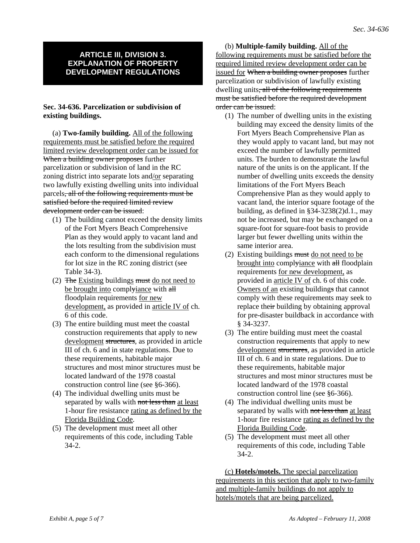#### **ARTICLE III, DIVISION 3. EXPLANATION OF PROPERTY DEVELOPMENT REGULATIONS**

#### **Sec. 34-636. Parcelization or subdivision of existing buildings.**

(a) **Two-family building.** All of the following requirements must be satisfied before the required limited review development order can be issued for When a building owner proposes further parcelization or subdivision of land in the RC zoning district into separate lots and/or separating two lawfully existing dwelling units into individual parcels, all of the following requirements must be satisfied before the required limited review development order can be issued:

- (1) The building cannot exceed the density limits of the Fort Myers Beach Comprehensive Plan as they would apply to vacant land and the lots resulting from the subdivision must each conform to the dimensional regulations for lot size in the RC zoning district (see Table 34-3).
- (2) The Existing buildings must do not need to be brought into complyiance with all floodplain requirements for new development, as provided in article IV of ch. 6 of this code.
- (3) The entire building must meet the coastal construction requirements that apply to new development structures, as provided in article III of ch. 6 and in state regulations. Due to these requirements, habitable major structures and most minor structures must be located landward of the 1978 coastal construction control line (see §6-366).
- (4) The individual dwelling units must be separated by walls with not less than at least 1-hour fire resistance rating as defined by the Florida Building Code.
- (5) The development must meet all other requirements of this code, including Table 34-2.

(b) **Multiple-family building.** All of the following requirements must be satisfied before the required limited review development order can be issued for When a building owner proposes further parcelization or subdivision of lawfully existing dwelling units, all of the following requirements must be satisfied before the required development order can be issued:

- (1) The number of dwelling units in the existing building may exceed the density limits of the Fort Myers Beach Comprehensive Plan as they would apply to vacant land, but may not exceed the number of lawfully permitted units. The burden to demonstrate the lawful nature of the units is on the applicant. If the number of dwelling units exceeds the density limitations of the Fort Myers Beach Comprehensive Plan as they would apply to vacant land, the interior square footage of the building, as defined in §34-3238(2)d.1., may not be increased, but may be exchanged on a square-foot for square-foot basis to provide larger but fewer dwelling units within the same interior area.
- (2) Existing buildings  $\frac{m}{dt}$  do not need to be brought into complyiance with all floodplain requirements for new development, as provided in article IV of ch. 6 of this code. Owners of an existing buildings that cannot comply with these requirements may seek to replace their building by obtaining approval for pre-disaster buildback in accordance with § 34-3237.
- (3) The entire building must meet the coastal construction requirements that apply to new development structures, as provided in article III of ch. 6 and in state regulations. Due to these requirements, habitable major structures and most minor structures must be located landward of the 1978 coastal construction control line (see §6-366).
- (4) The individual dwelling units must be separated by walls with not less than at least 1-hour fire resistance rating as defined by the Florida Building Code.
- (5) The development must meet all other requirements of this code, including Table 34-2.

(c) **Hotels/motels.** The special parcelization requirements in this section that apply to two-family and multiple-family buildings do not apply to hotels/motels that are being parcelized.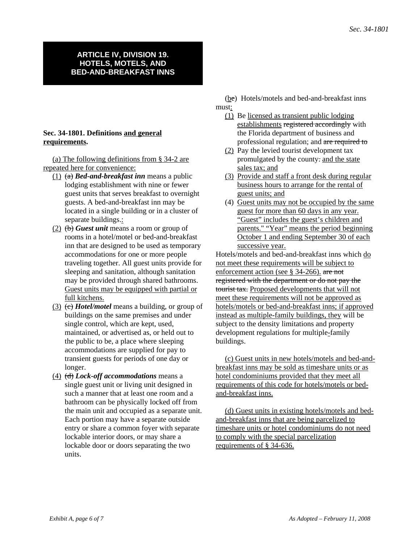#### **ARTICLE IV, DIVISION 19. HOTELS, MOTELS, AND BED-AND-BREAKFAST INNS**

## **Sec. 34-1801. Definitions and general requirements.**

(a) The following definitions from § 34-2 are repeated here for convenience:

- (1) (a) *Bed-and-breakfast inn* means a public lodging establishment with nine or fewer guest units that serves breakfast to overnight guests. A bed-and-breakfast inn may be located in a single building or in a cluster of separate buildings.:
- (2) (b) *Guest unit* means a room or group of rooms in a hotel/motel or bed-and-breakfast inn that are designed to be used as temporary accommodations for one or more people traveling together. All guest units provide for sleeping and sanitation, although sanitation may be provided through shared bathrooms. Guest units may be equipped with partial or full kitchens.
- (3) (c) *Hotel/motel* means a building, or group of buildings on the same premises and under single control, which are kept, used, maintained, or advertised as, or held out to the public to be, a place where sleeping accommodations are supplied for pay to transient guests for periods of one day or longer.
- (4) (d) *Lock-off accommodations* means a single guest unit or living unit designed in such a manner that at least one room and a bathroom can be physically locked off from the main unit and occupied as a separate unit. Each portion may have a separate outside entry or share a common foyer with separate lockable interior doors, or may share a lockable door or doors separating the two units.

(be) Hotels/motels and bed-and-breakfast inns must:

- (1) Be licensed as transient public lodging establishments registered accordingly with the Florida department of business and professional regulation; and are required to
- (2) Pay the levied tourist development tax promulgated by the county. and the state sales tax; and
- (3) Provide and staff a front desk during regular business hours to arrange for the rental of guest units; and
- (4) Guest units may not be occupied by the same guest for more than 60 days in any year. "Guest" includes the guest's children and parents." "Year" means the period beginning October 1 and ending September 30 of each successive year.

Hotels/motels and bed-and-breakfast inns which do not meet these requirements will be subject to enforcement action (see § 34-266). are not registered with the department or do not pay the tourist tax. Proposed developments that will not meet these requirements will not be approved as hotels/motels or bed-and-breakfast inns; if approved instead as multiple-family buildings, they will be subject to the density limitations and property development regulations for multiple-family buildings.

(c) Guest units in new hotels/motels and bed-andbreakfast inns may be sold as timeshare units or as hotel condominiums provided that they meet all requirements of this code for hotels/motels or bedand-breakfast inns.

(d) Guest units in existing hotels/motels and bedand-breakfast inns that are being parcelized to timeshare units or hotel condominiums do not need to comply with the special parcelization requirements of § 34-636.